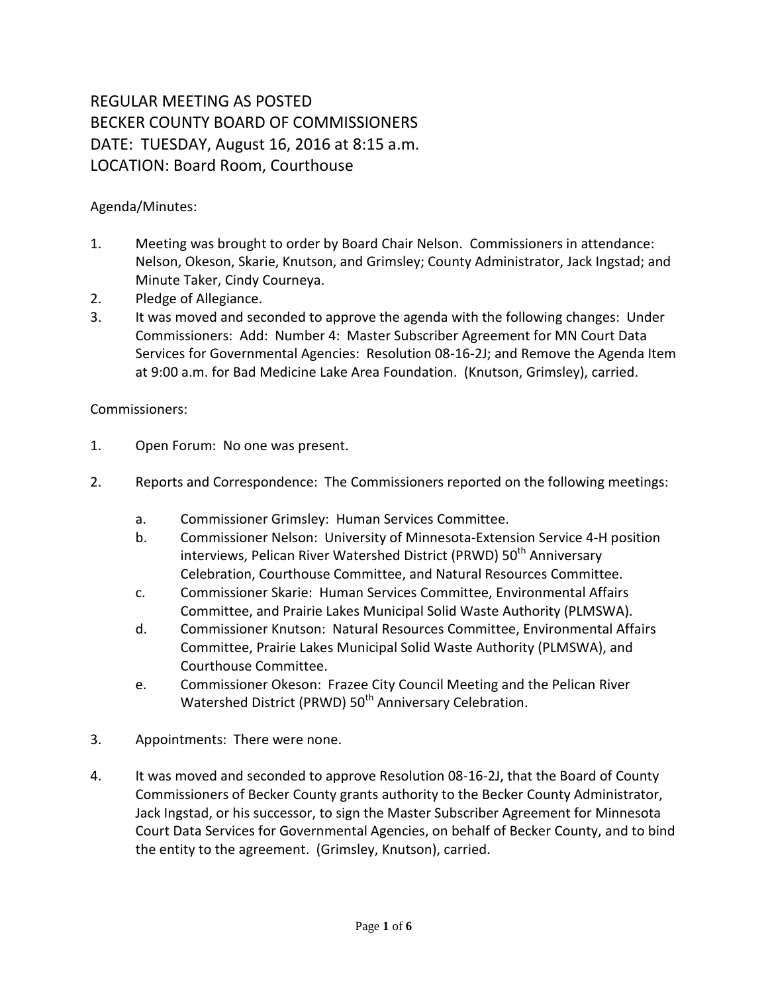## REGULAR MEETING AS POSTED BECKER COUNTY BOARD OF COMMISSIONERS DATE: TUESDAY, August 16, 2016 at 8:15 a.m. LOCATION: Board Room, Courthouse

Agenda/Minutes:

- 1. Meeting was brought to order by Board Chair Nelson. Commissioners in attendance: Nelson, Okeson, Skarie, Knutson, and Grimsley; County Administrator, Jack Ingstad; and Minute Taker, Cindy Courneya.
- 2. Pledge of Allegiance.
- 3. It was moved and seconded to approve the agenda with the following changes: Under Commissioners: Add: Number 4: Master Subscriber Agreement for MN Court Data Services for Governmental Agencies: Resolution 08-16-2J; and Remove the Agenda Item at 9:00 a.m. for Bad Medicine Lake Area Foundation. (Knutson, Grimsley), carried.

## Commissioners:

- 1. Open Forum: No one was present.
- 2. Reports and Correspondence: The Commissioners reported on the following meetings:
	- a. Commissioner Grimsley: Human Services Committee.
	- b. Commissioner Nelson: University of Minnesota-Extension Service 4-H position interviews, Pelican River Watershed District (PRWD) 50<sup>th</sup> Anniversary Celebration, Courthouse Committee, and Natural Resources Committee.
	- c. Commissioner Skarie: Human Services Committee, Environmental Affairs Committee, and Prairie Lakes Municipal Solid Waste Authority (PLMSWA).
	- d. Commissioner Knutson: Natural Resources Committee, Environmental Affairs Committee, Prairie Lakes Municipal Solid Waste Authority (PLMSWA), and Courthouse Committee.
	- e. Commissioner Okeson: Frazee City Council Meeting and the Pelican River Watershed District (PRWD) 50<sup>th</sup> Anniversary Celebration.
- 3. Appointments: There were none.
- 4. It was moved and seconded to approve Resolution 08-16-2J, that the Board of County Commissioners of Becker County grants authority to the Becker County Administrator, Jack Ingstad, or his successor, to sign the Master Subscriber Agreement for Minnesota Court Data Services for Governmental Agencies, on behalf of Becker County, and to bind the entity to the agreement. (Grimsley, Knutson), carried.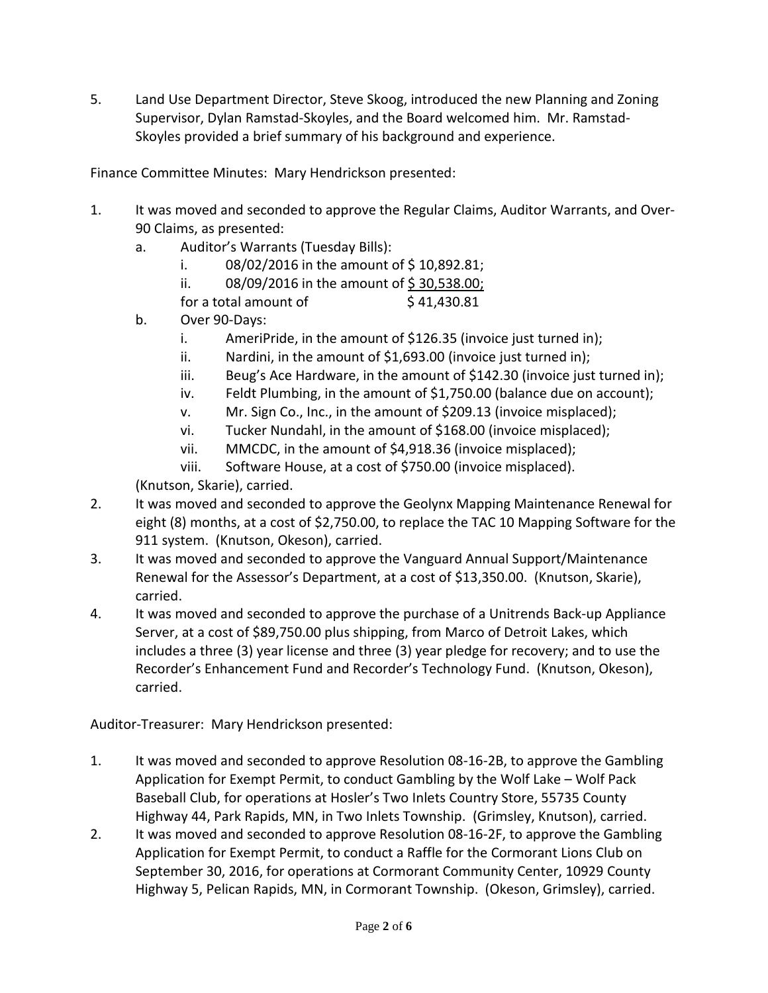5. Land Use Department Director, Steve Skoog, introduced the new Planning and Zoning Supervisor, Dylan Ramstad-Skoyles, and the Board welcomed him. Mr. Ramstad-Skoyles provided a brief summary of his background and experience.

Finance Committee Minutes: Mary Hendrickson presented:

- 1. It was moved and seconded to approve the Regular Claims, Auditor Warrants, and Over-90 Claims, as presented:
	- a. Auditor's Warrants (Tuesday Bills):
		- i.  $08/02/2016$  in the amount of \$10,892.81;
		- ii.  $08/09/2016$  in the amount of \$30,538.00;
		- for a total amount of  $\frac{\xi}{41,430.81}$
	- b. Over 90-Days:
		- i. AmeriPride, in the amount of \$126.35 (invoice just turned in);
		- ii. Nardini, in the amount of \$1,693.00 (invoice just turned in);
		- iii. Beug's Ace Hardware, in the amount of \$142.30 (invoice just turned in);
		- iv. Feldt Plumbing, in the amount of \$1,750.00 (balance due on account);
		- v. Mr. Sign Co., Inc., in the amount of \$209.13 (invoice misplaced);
		- vi. Tucker Nundahl, in the amount of \$168.00 (invoice misplaced);
		- vii. MMCDC, in the amount of \$4,918.36 (invoice misplaced);
		- viii. Software House, at a cost of \$750.00 (invoice misplaced).

(Knutson, Skarie), carried.

- 2. It was moved and seconded to approve the Geolynx Mapping Maintenance Renewal for eight (8) months, at a cost of \$2,750.00, to replace the TAC 10 Mapping Software for the 911 system. (Knutson, Okeson), carried.
- 3. It was moved and seconded to approve the Vanguard Annual Support/Maintenance Renewal for the Assessor's Department, at a cost of \$13,350.00. (Knutson, Skarie), carried.
- 4. It was moved and seconded to approve the purchase of a Unitrends Back-up Appliance Server, at a cost of \$89,750.00 plus shipping, from Marco of Detroit Lakes, which includes a three (3) year license and three (3) year pledge for recovery; and to use the Recorder's Enhancement Fund and Recorder's Technology Fund. (Knutson, Okeson), carried.

Auditor-Treasurer: Mary Hendrickson presented:

- 1. It was moved and seconded to approve Resolution 08-16-2B, to approve the Gambling Application for Exempt Permit, to conduct Gambling by the Wolf Lake – Wolf Pack Baseball Club, for operations at Hosler's Two Inlets Country Store, 55735 County Highway 44, Park Rapids, MN, in Two Inlets Township. (Grimsley, Knutson), carried.
- 2. It was moved and seconded to approve Resolution 08-16-2F, to approve the Gambling Application for Exempt Permit, to conduct a Raffle for the Cormorant Lions Club on September 30, 2016, for operations at Cormorant Community Center, 10929 County Highway 5, Pelican Rapids, MN, in Cormorant Township. (Okeson, Grimsley), carried.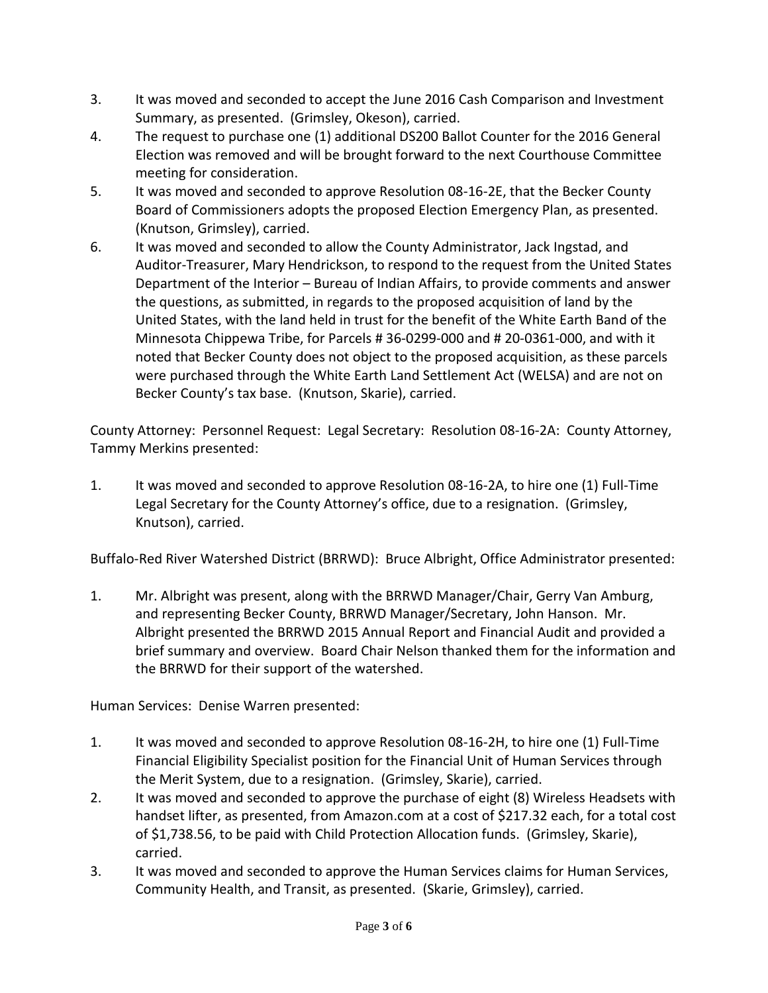- 3. It was moved and seconded to accept the June 2016 Cash Comparison and Investment Summary, as presented. (Grimsley, Okeson), carried.
- 4. The request to purchase one (1) additional DS200 Ballot Counter for the 2016 General Election was removed and will be brought forward to the next Courthouse Committee meeting for consideration.
- 5. It was moved and seconded to approve Resolution 08-16-2E, that the Becker County Board of Commissioners adopts the proposed Election Emergency Plan, as presented. (Knutson, Grimsley), carried.
- 6. It was moved and seconded to allow the County Administrator, Jack Ingstad, and Auditor-Treasurer, Mary Hendrickson, to respond to the request from the United States Department of the Interior – Bureau of Indian Affairs, to provide comments and answer the questions, as submitted, in regards to the proposed acquisition of land by the United States, with the land held in trust for the benefit of the White Earth Band of the Minnesota Chippewa Tribe, for Parcels # 36-0299-000 and # 20-0361-000, and with it noted that Becker County does not object to the proposed acquisition, as these parcels were purchased through the White Earth Land Settlement Act (WELSA) and are not on Becker County's tax base. (Knutson, Skarie), carried.

County Attorney: Personnel Request: Legal Secretary: Resolution 08-16-2A: County Attorney, Tammy Merkins presented:

1. It was moved and seconded to approve Resolution 08-16-2A, to hire one (1) Full-Time Legal Secretary for the County Attorney's office, due to a resignation. (Grimsley, Knutson), carried.

Buffalo-Red River Watershed District (BRRWD): Bruce Albright, Office Administrator presented:

1. Mr. Albright was present, along with the BRRWD Manager/Chair, Gerry Van Amburg, and representing Becker County, BRRWD Manager/Secretary, John Hanson. Mr. Albright presented the BRRWD 2015 Annual Report and Financial Audit and provided a brief summary and overview. Board Chair Nelson thanked them for the information and the BRRWD for their support of the watershed.

Human Services: Denise Warren presented:

- 1. It was moved and seconded to approve Resolution 08-16-2H, to hire one (1) Full-Time Financial Eligibility Specialist position for the Financial Unit of Human Services through the Merit System, due to a resignation. (Grimsley, Skarie), carried.
- 2. It was moved and seconded to approve the purchase of eight (8) Wireless Headsets with handset lifter, as presented, from Amazon.com at a cost of \$217.32 each, for a total cost of \$1,738.56, to be paid with Child Protection Allocation funds. (Grimsley, Skarie), carried.
- 3. It was moved and seconded to approve the Human Services claims for Human Services, Community Health, and Transit, as presented. (Skarie, Grimsley), carried.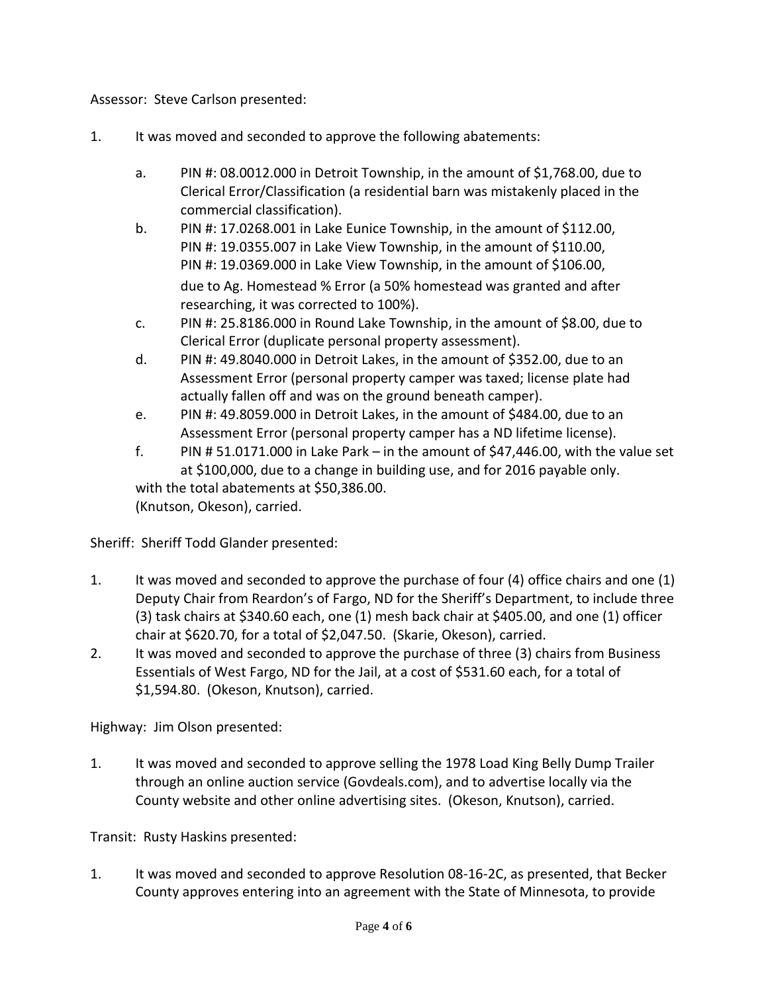Assessor: Steve Carlson presented:

- 1. It was moved and seconded to approve the following abatements:
	- a. PIN #: 08.0012.000 in Detroit Township, in the amount of \$1,768.00, due to Clerical Error/Classification (a residential barn was mistakenly placed in the commercial classification).
	- b. PIN #: 17.0268.001 in Lake Eunice Township, in the amount of \$112.00, PIN #: 19.0355.007 in Lake View Township, in the amount of \$110.00, PIN #: 19.0369.000 in Lake View Township, in the amount of \$106.00, due to Ag. Homestead % Error (a 50% homestead was granted and after researching, it was corrected to 100%).
	- c. PIN #: 25.8186.000 in Round Lake Township, in the amount of \$8.00, due to Clerical Error (duplicate personal property assessment).
	- d. PIN #: 49.8040.000 in Detroit Lakes, in the amount of \$352.00, due to an Assessment Error (personal property camper was taxed; license plate had actually fallen off and was on the ground beneath camper).
	- e. PIN #: 49.8059.000 in Detroit Lakes, in the amount of \$484.00, due to an Assessment Error (personal property camper has a ND lifetime license).
	- f. PIN # 51.0171.000 in Lake Park in the amount of \$47,446.00, with the value set at \$100,000, due to a change in building use, and for 2016 payable only. with the total abatements at \$50,386.00. (Knutson, Okeson), carried.

Sheriff: Sheriff Todd Glander presented:

- 1. It was moved and seconded to approve the purchase of four (4) office chairs and one (1) Deputy Chair from Reardon's of Fargo, ND for the Sheriff's Department, to include three (3) task chairs at \$340.60 each, one (1) mesh back chair at \$405.00, and one (1) officer chair at \$620.70, for a total of \$2,047.50. (Skarie, Okeson), carried.
- 2. It was moved and seconded to approve the purchase of three (3) chairs from Business Essentials of West Fargo, ND for the Jail, at a cost of \$531.60 each, for a total of \$1,594.80. (Okeson, Knutson), carried.

Highway: Jim Olson presented:

1. It was moved and seconded to approve selling the 1978 Load King Belly Dump Trailer through an online auction service (Govdeals.com), and to advertise locally via the County website and other online advertising sites. (Okeson, Knutson), carried.

Transit: Rusty Haskins presented:

1. It was moved and seconded to approve Resolution 08-16-2C, as presented, that Becker County approves entering into an agreement with the State of Minnesota, to provide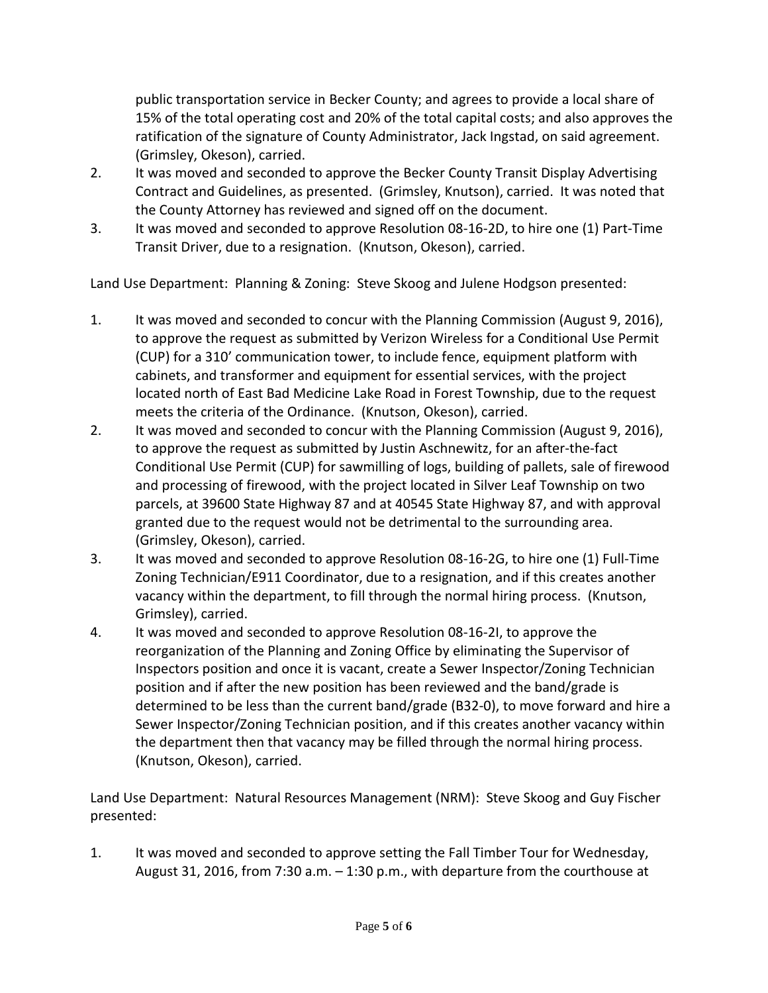public transportation service in Becker County; and agrees to provide a local share of 15% of the total operating cost and 20% of the total capital costs; and also approves the ratification of the signature of County Administrator, Jack Ingstad, on said agreement. (Grimsley, Okeson), carried.

- 2. It was moved and seconded to approve the Becker County Transit Display Advertising Contract and Guidelines, as presented. (Grimsley, Knutson), carried. It was noted that the County Attorney has reviewed and signed off on the document.
- 3. It was moved and seconded to approve Resolution 08-16-2D, to hire one (1) Part-Time Transit Driver, due to a resignation. (Knutson, Okeson), carried.

Land Use Department: Planning & Zoning: Steve Skoog and Julene Hodgson presented:

- 1. It was moved and seconded to concur with the Planning Commission (August 9, 2016), to approve the request as submitted by Verizon Wireless for a Conditional Use Permit (CUP) for a 310' communication tower, to include fence, equipment platform with cabinets, and transformer and equipment for essential services, with the project located north of East Bad Medicine Lake Road in Forest Township, due to the request meets the criteria of the Ordinance. (Knutson, Okeson), carried.
- 2. It was moved and seconded to concur with the Planning Commission (August 9, 2016), to approve the request as submitted by Justin Aschnewitz, for an after-the-fact Conditional Use Permit (CUP) for sawmilling of logs, building of pallets, sale of firewood and processing of firewood, with the project located in Silver Leaf Township on two parcels, at 39600 State Highway 87 and at 40545 State Highway 87, and with approval granted due to the request would not be detrimental to the surrounding area. (Grimsley, Okeson), carried.
- 3. It was moved and seconded to approve Resolution 08-16-2G, to hire one (1) Full-Time Zoning Technician/E911 Coordinator, due to a resignation, and if this creates another vacancy within the department, to fill through the normal hiring process. (Knutson, Grimsley), carried.
- 4. It was moved and seconded to approve Resolution 08-16-2I, to approve the reorganization of the Planning and Zoning Office by eliminating the Supervisor of Inspectors position and once it is vacant, create a Sewer Inspector/Zoning Technician position and if after the new position has been reviewed and the band/grade is determined to be less than the current band/grade (B32-0), to move forward and hire a Sewer Inspector/Zoning Technician position, and if this creates another vacancy within the department then that vacancy may be filled through the normal hiring process. (Knutson, Okeson), carried.

Land Use Department: Natural Resources Management (NRM): Steve Skoog and Guy Fischer presented:

1. It was moved and seconded to approve setting the Fall Timber Tour for Wednesday, August 31, 2016, from 7:30 a.m. – 1:30 p.m., with departure from the courthouse at